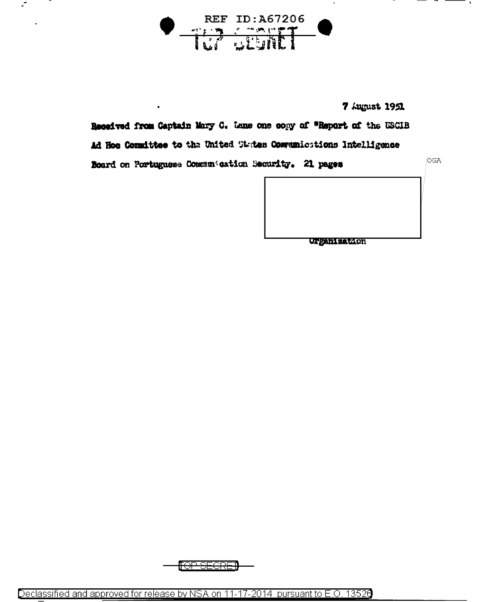

 $\mathcal{L}_{\mathcal{A}}$ 

7 August 1951

Received from Captain Mary C. Lans one copy of "Report of the USCIB Ad Hoe Committee to the United States Communications Intelligence Board on Portuguese Communication Security. 21 pages

OGA

**Urganization** 

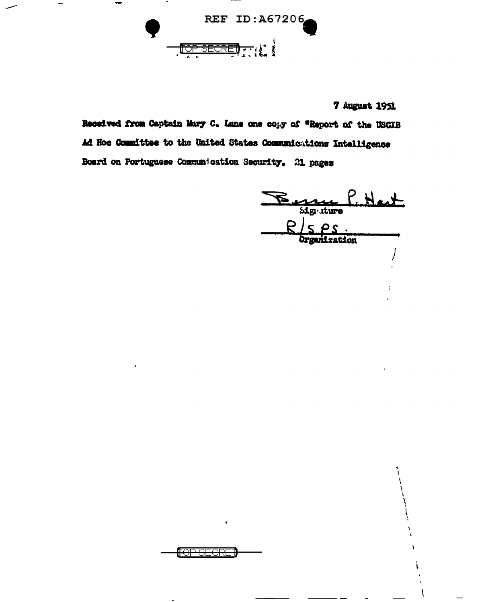

7 August 1951

Received from Captain Mary C. Lane one copy of "Report of the USCIB Ad Hoe Committee to the United States Communications Intelligence Board on Portuguese Communication Security. 21 pages

<del>'OP SECRET</del>

Bennes Hast  $P \sim P$ Organization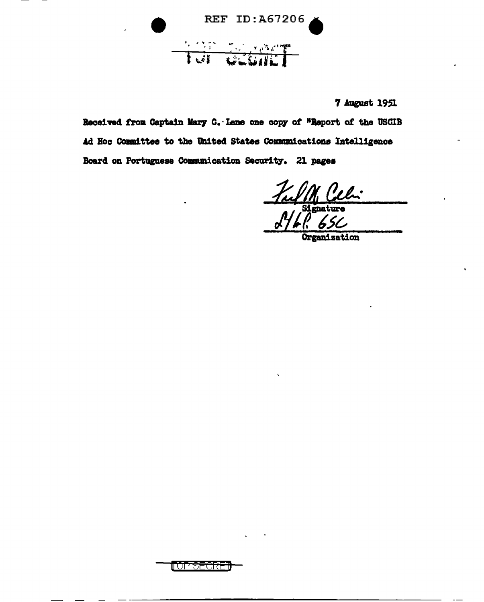REF ID:A67206 Tell Gebrief

7 August 1951

Received from Captain Mary C. Lane one copy of "Report of the USCIB Ad Hoc Committee to the United States Communications Intelligence Board on Portuguese Communication Security. 21 pages

Organization

**MUPSECR**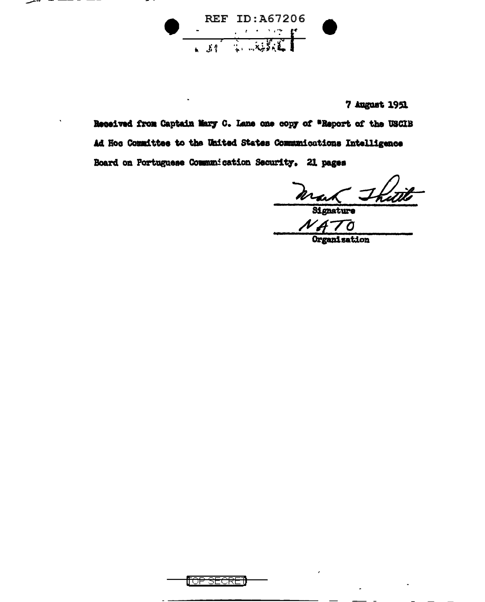REF ID:A67206

7 August 1951

Received from Captain Mary C. Lane one copy of "Report of the USCIB Ad Hoc Committee to the United States Communications Intelligence Board on Portuguese Communication Security. 21 pages

Mar Thitile

Organization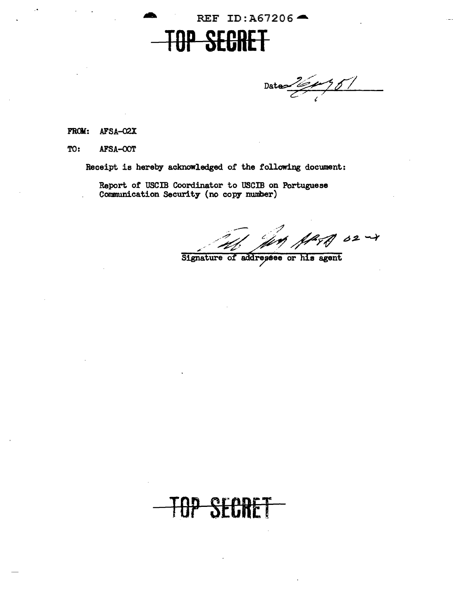

Data  $\frac{160951}{2}$ 

FROM: AFSA-02X

TO: AFSA-OOT

Receipt is hereby acknowledged of the following document:

Report of USCIB Coordinator to USCIB on Portuguese Communication Security (no copy number)

Signature of addresses or his agent

TOP SECRET